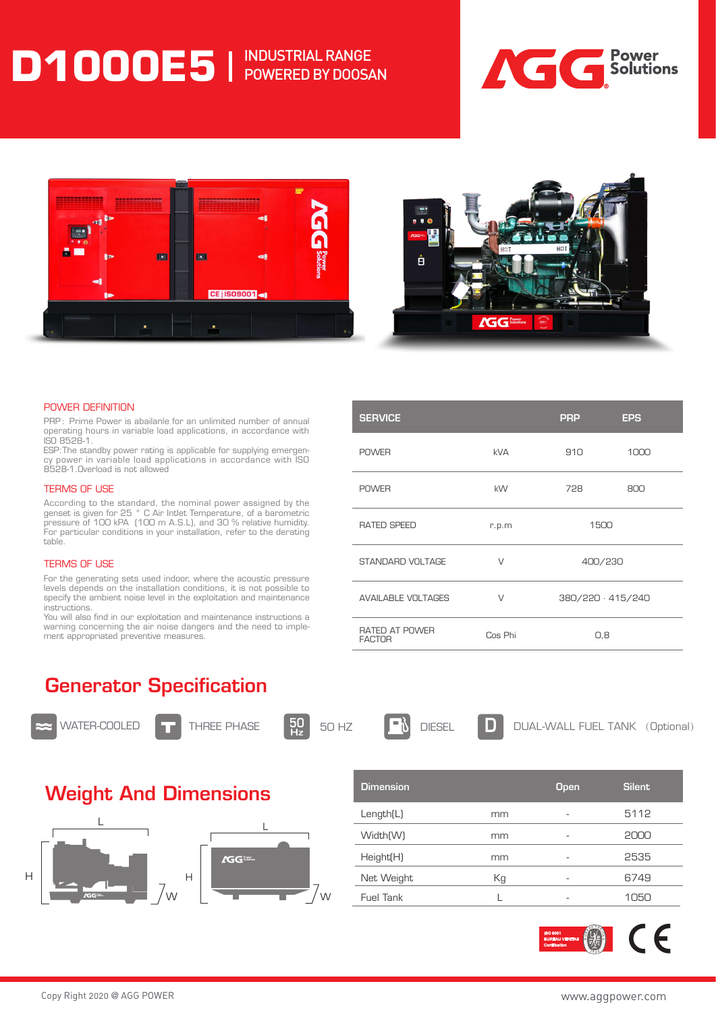## **D1000E5** | INDUSTRIAL RANGE POWERED BY DOOSAN







#### POWER DEFINITION

PRP: Prime Power is abailanle for an unlimited number of annual operating hours in variable load applications, in accordance with ISO 8528-1.

ESP:The standby power rating is applicable for supplying emergency power in variable load applications in accordance with ISO 8528-1.Overload is not allowed

#### TERMS OF USE

According to the standard, the nominal power assigned by the genset is given for 25 ° C Air Intlet Temperature, of a barometric pressure of 100 kPA (100 m A.S.L), and 30 % relative humidity. For particular conditions in your installation, refer to the derating table.

#### TERMS OF USE

For the generating sets used indoor, where the acoustic pressure levels depends on the installation conditions, it is not possible to specify the ambient noise level in the exploitation and maintenance instructions.

You will also find in our exploitation and maintenance instructions a warning concerning the air noise dangers and the need to implement appropriated preventive measures.

| <b>SERVICE</b>                  |            | <b>PRP</b>        | <b>EPS</b> |
|---------------------------------|------------|-------------------|------------|
| <b>POWER</b>                    | <b>kVA</b> | 910               | 1000       |
| <b>POWER</b>                    | kW         | 728               | 800        |
| RATED SPEED                     | r.p.m      | 1500              |            |
| STANDARD VOLTAGE                | $\vee$     | 400/230           |            |
| <b>AVAILABLE VOLTAGES</b>       | $\vee$     | 380/220 · 415/240 |            |
| RATED AT POWER<br><b>FACTOR</b> | Cos Phi    | O,8               |            |

### Generator Specification



WATER-COOLED **THEF** THREE PHASE **50** 



**H D DIESEL D DUAL-WALL FUEL TANK** (Optional)

### Weight And Dimensions



| <b>Dimension</b>      |    | <b>Open</b> | <b>Silent</b> |
|-----------------------|----|-------------|---------------|
| Length(L)             | mm |             | 5112          |
| Width <sub>(W)</sub>  | mm | ۰           | 2000          |
| Height <sub>[H]</sub> | mm |             | 2535          |
| Net Weight            | Кg | ۰           | 6749          |
| Fuel Tank             |    |             | 105C          |

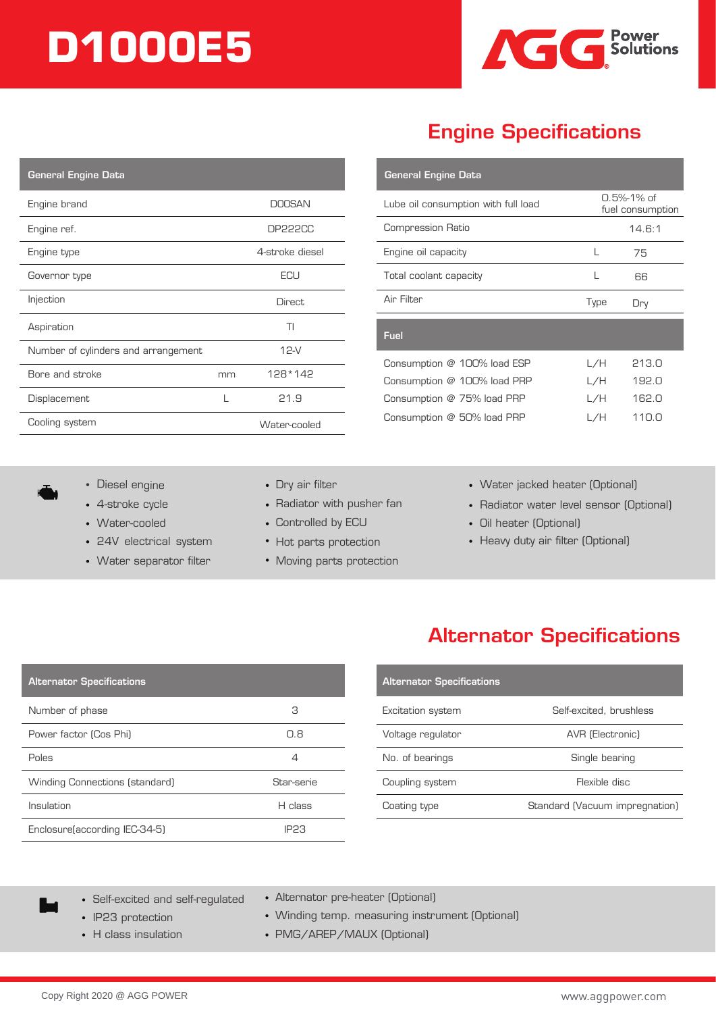# **D1000E5**



## Engine Specifications

**General Engine Data** 

| <b>General Engine Data</b>          |    |                 |
|-------------------------------------|----|-----------------|
| Engine brand                        |    | <b>DOOSAN</b>   |
| Engine ref.                         |    | <b>DP222CC</b>  |
| Engine type                         |    | 4-stroke diesel |
| Governor type                       |    | ECU             |
| Injection                           |    | <b>Direct</b>   |
| Aspiration                          |    | TI              |
| Number of cylinders and arrangement |    | 12-V            |
| Bore and stroke                     | mm | 128*142         |
| Displacement                        | L  | 21.9            |
| Cooling system                      |    | Water-cooled    |

| 0.5%-1% of<br>Lube oil consumption with full load |      | fuel consumption |
|---------------------------------------------------|------|------------------|
| <b>Compression Ratio</b>                          |      | 14.6:1           |
| Engine oil capacity                               | L    | 75               |
| Total coolant capacity                            | L    | 66               |
| Air Filter                                        | Type | Dry              |
| Fuel                                              |      |                  |
| Consumption @ 100% load ESP                       | L/H  | 213.0            |
| Consumption @ 100% load PRP                       | L/H  | 192.0            |
| Consumption $@$ 75% load PRP                      | L/H  | 162.0            |
| Consumption @ 50% load PRP                        | L/H  | 110.0            |

- Diesel engine **Dry air filter**
- 4-stroke cycle
- Water-cooled
- 24V electrical system
- Water separator filter
- 
- Radiator with pusher fan
- Controlled by ECU
- Hot parts protection
- Moving parts protection
- Water jacked heater (Optional)
- Radiator water level sensor (Optional)
- Oil heater (Optional)
- Heavy duty air filter (Optional)

### Alternator Specifications

| <b>Alternator Specifications</b> |                                |
|----------------------------------|--------------------------------|
| Excitation system                | Self-excited, brushless        |
| Voltage regulator                | AVR (Electronic)               |
| No. of bearings                  | Single bearing                 |
| Coupling system                  | Flexible disc                  |
| Coating type                     | Standard (Vacuum impregnation) |

Alternator Specifications

Self-excited and self-regulated

Number of phase 3

Power factor (Cos Phi) 0.8

Poles **4** 

Winding Connections (standard) Star-serie Insulation **H** class

Enclosure(according IEC-34-5) IP23

- IP23 protection
- 
- Alternator pre-heater (Optional)
- Winding temp. measuring instrument (Optional)
- H class insulation PMG/AREP/MAUX (Optional)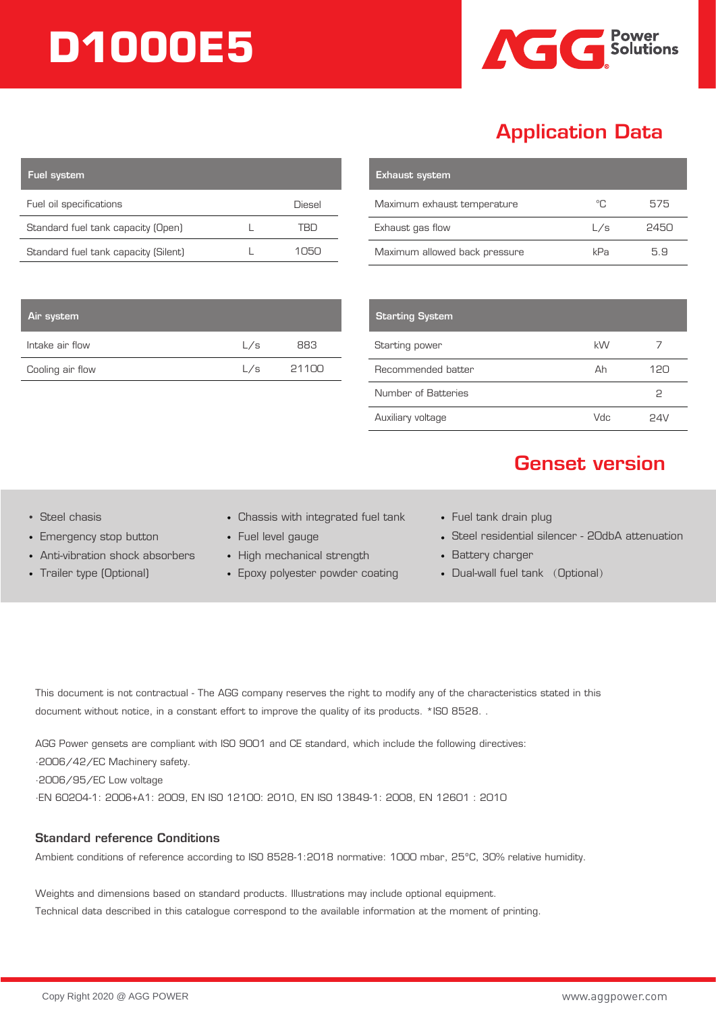# **D1000E5**



## Application Data

| <b>Fuel system</b>                   |          |
|--------------------------------------|----------|
| Fuel oil specifications              | Diesel   |
| Standard fuel tank capacity (Open)   |          |
| Standard fuel tank capacity (Silent) | ۱ اط( ۱۲ |

| <b>Exhaust system</b>         |     |      |
|-------------------------------|-----|------|
| Maximum exhaust temperature   | °C. | 575  |
| Exhaust gas flow              | L/s | 2450 |
| Maximum allowed back pressure | kPa | 59   |

| <b>Starting System</b> |      |     |
|------------------------|------|-----|
| Starting power         | kW   |     |
| Recommended batter     | Ah   | 120 |
| Number of Batteries    |      | ς   |
| Auxiliary voltage      | /luu | ワムい |

# Genset version

Air system

Intake air flow Cooling air flow

- Emergency stop button
- Anti-vibration shock absorbers
- Trailer type (Optional)
- Steel chasis Chassis with integrated fuel tank
	- Fuel level gauge

L/s 883 L/s 21100

- High mechanical strength
- Epoxy polyester powder coating
- Fuel tank drain plug
- Steel residential silencer 20dbA attenuation
- Battery charger
- Dual-wall fuel tank (Optional)

This document is not contractual - The AGG company reserves the right to modify any of the characteristics stated in this document without notice, in a constant effort to improve the quality of its products. \*ISO 8528. .

AGG Power gensets are compliant with ISO 9001 and CE standard, which include the following directives: ·2006/42/EC Machinery safety. ·2006/95/EC Low voltage ·EN 60204-1: 2006+A1: 2009, EN ISO 12100: 2010, EN ISO 13849-1: 2008, EN 12601 : 2010

#### Standard reference Conditions

Ambient conditions of reference according to ISO 8528-1:2018 normative: 1000 mbar, 25ºC, 30% relative humidity.

Weights and dimensions based on standard products. Illustrations may include optional equipment. Technical data described in this catalogue correspond to the available information at the moment of printing.